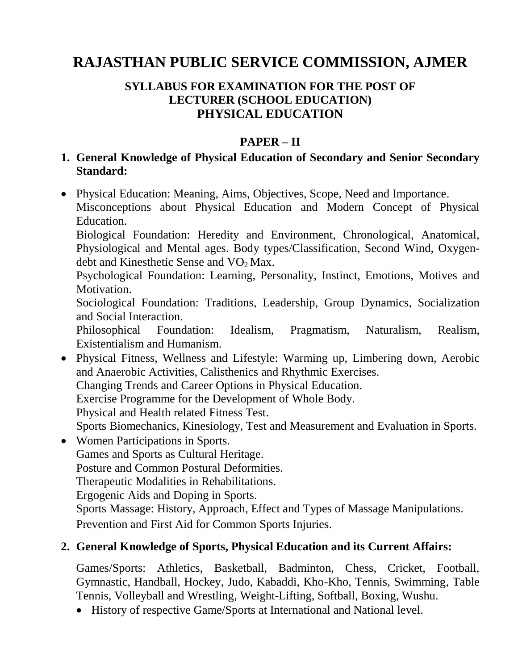# **RAJASTHAN PUBLIC SERVICE COMMISSION, AJMER**

#### **SYLLABUS FOR EXAMINATION FOR THE POST OF LECTURER (SCHOOL EDUCATION) PHYSICAL EDUCATION**

## **PAPER – II**

### **1. General Knowledge of Physical Education of Secondary and Senior Secondary Standard:**

 Physical Education: Meaning, Aims, Objectives, Scope, Need and Importance. Misconceptions about Physical Education and Modern Concept of Physical Education.

Biological Foundation: Heredity and Environment, Chronological, Anatomical, Physiological and Mental ages. Body types/Classification, Second Wind, Oxygendebt and Kinesthetic Sense and  $VO<sub>2</sub> Max.$ 

Psychological Foundation: Learning, Personality, Instinct, Emotions, Motives and Motivation.

Sociological Foundation: Traditions, Leadership, Group Dynamics, Socialization and Social Interaction.

Philosophical Foundation: Idealism, Pragmatism, Naturalism, Realism, Existentialism and Humanism.

 Physical Fitness, Wellness and Lifestyle: Warming up, Limbering down, Aerobic and Anaerobic Activities, Calisthenics and Rhythmic Exercises. Changing Trends and Career Options in Physical Education. Exercise Programme for the Development of Whole Body. Physical and Health related Fitness Test. Sports Biomechanics, Kinesiology, Test and Measurement and Evaluation in Sports.

• Women Participations in Sports. Games and Sports as Cultural Heritage. Posture and Common Postural Deformities. Therapeutic Modalities in Rehabilitations. Ergogenic Aids and Doping in Sports. Sports Massage: History, Approach, Effect and Types of Massage Manipulations. Prevention and First Aid for Common Sports Injuries.

#### **2. General Knowledge of Sports, Physical Education and its Current Affairs:**

Games/Sports: Athletics, Basketball, Badminton, Chess, Cricket, Football, Gymnastic, Handball, Hockey, Judo, Kabaddi, Kho-Kho, Tennis, Swimming, Table Tennis, Volleyball and Wrestling, Weight-Lifting, Softball, Boxing, Wushu.

History of respective Game/Sports at International and National level.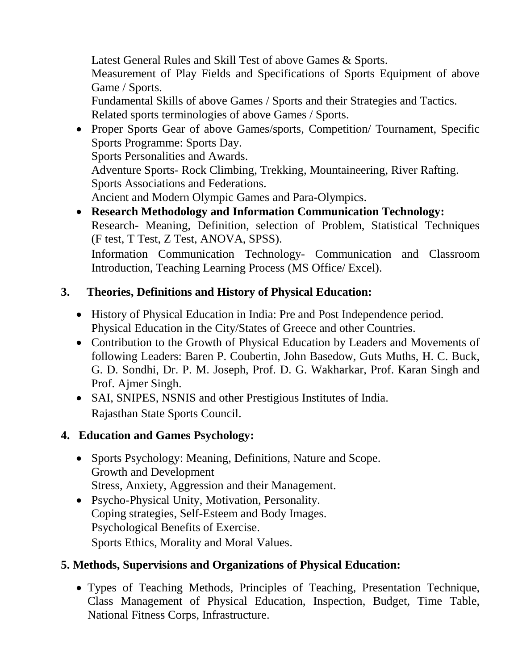Latest General Rules and Skill Test of above Games & Sports.

Measurement of Play Fields and Specifications of Sports Equipment of above Game / Sports.

Fundamental Skills of above Games / Sports and their Strategies and Tactics. Related sports terminologies of above Games / Sports.

• Proper Sports Gear of above Games/sports, Competition/ Tournament, Specific Sports Programme: Sports Day. Sports Personalities and Awards. Adventure Sports- Rock Climbing, Trekking, Mountaineering, River Rafting. Sports Associations and Federations.

Ancient and Modern Olympic Games and Para-Olympics.

 **Research Methodology and Information Communication Technology:** Research- Meaning, Definition, selection of Problem, Statistical Techniques (F test, T Test, Z Test, ANOVA, SPSS).

Information Communication Technology- Communication and Classroom Introduction, Teaching Learning Process (MS Office/ Excel).

# **3. Theories, Definitions and History of Physical Education:**

- History of Physical Education in India: Pre and Post Independence period. Physical Education in the City/States of Greece and other Countries.
- Contribution to the Growth of Physical Education by Leaders and Movements of following Leaders: Baren P. Coubertin, John Basedow, Guts Muths, H. C. Buck, G. D. Sondhi, Dr. P. M. Joseph, Prof. D. G. Wakharkar, Prof. Karan Singh and Prof. Ajmer Singh.
- SAI, SNIPES, NSNIS and other Prestigious Institutes of India. Rajasthan State Sports Council.

# **4. Education and Games Psychology:**

- Sports Psychology: Meaning, Definitions, Nature and Scope. Growth and Development Stress, Anxiety, Aggression and their Management.
- Psycho-Physical Unity, Motivation, Personality. Coping strategies, Self-Esteem and Body Images. Psychological Benefits of Exercise. Sports Ethics, Morality and Moral Values.

# **5. Methods, Supervisions and Organizations of Physical Education:**

 Types of Teaching Methods, Principles of Teaching, Presentation Technique, Class Management of Physical Education, Inspection, Budget, Time Table, National Fitness Corps, Infrastructure.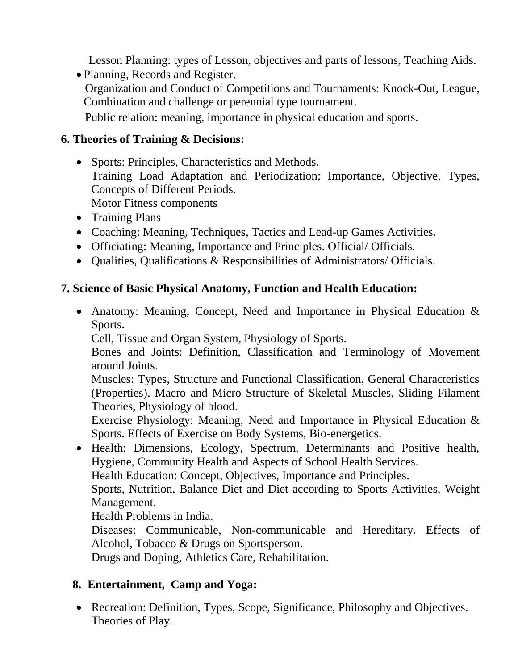Lesson Planning: types of Lesson, objectives and parts of lessons, Teaching Aids.

 Planning, Records and Register. Organization and Conduct of Competitions and Tournaments: Knock-Out, League, Combination and challenge or perennial type tournament. Public relation: meaning, importance in physical education and sports.

#### **6. Theories of Training & Decisions:**

- Sports: Principles, Characteristics and Methods. Training Load Adaptation and Periodization; Importance, Objective, Types, Concepts of Different Periods. Motor Fitness components
- Training Plans
- Coaching: Meaning, Techniques, Tactics and Lead-up Games Activities.
- Officiating: Meaning, Importance and Principles. Official/ Officials.
- Qualities, Qualifications & Responsibilities of Administrators/ Officials.

#### **7. Science of Basic Physical Anatomy, Function and Health Education:**

• Anatomy: Meaning, Concept, Need and Importance in Physical Education & Sports.

Cell, Tissue and Organ System, Physiology of Sports.

Bones and Joints: Definition, Classification and Terminology of Movement around Joints.

Muscles: Types, Structure and Functional Classification, General Characteristics (Properties). Macro and Micro Structure of Skeletal Muscles, Sliding Filament Theories, Physiology of blood.

Exercise Physiology: Meaning, Need and Importance in Physical Education & Sports. Effects of Exercise on Body Systems, Bio-energetics.

• Health: Dimensions, Ecology, Spectrum, Determinants and Positive health, Hygiene, Community Health and Aspects of School Health Services.

Health Education: Concept, Objectives, Importance and Principles.

Sports, Nutrition, Balance Diet and Diet according to Sports Activities, Weight Management.

Health Problems in India.

Diseases: Communicable, Non-communicable and Hereditary. Effects of Alcohol, Tobacco & Drugs on Sportsperson.

Drugs and Doping, Athletics Care, Rehabilitation.

# **8. Entertainment, Camp and Yoga:**

• Recreation: Definition, Types, Scope, Significance, Philosophy and Objectives. Theories of Play.